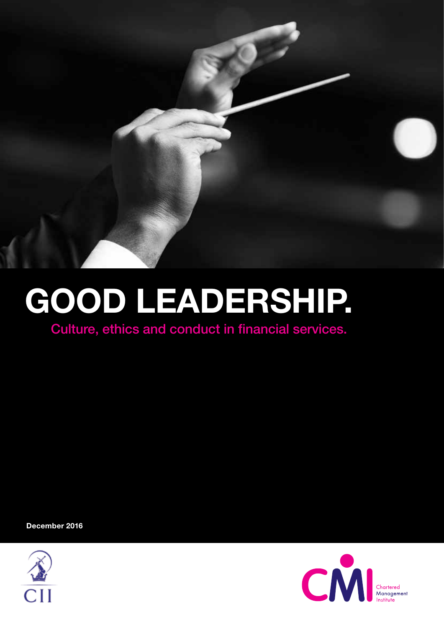

## **GOOD LEADERSHIP.**

Culture, ethics and conduct in financial services.

**December 2016**



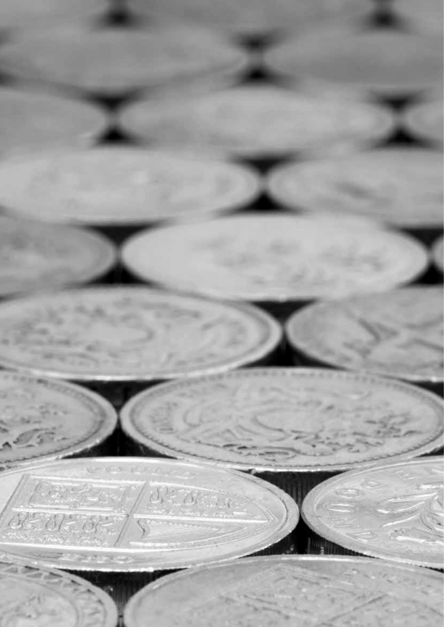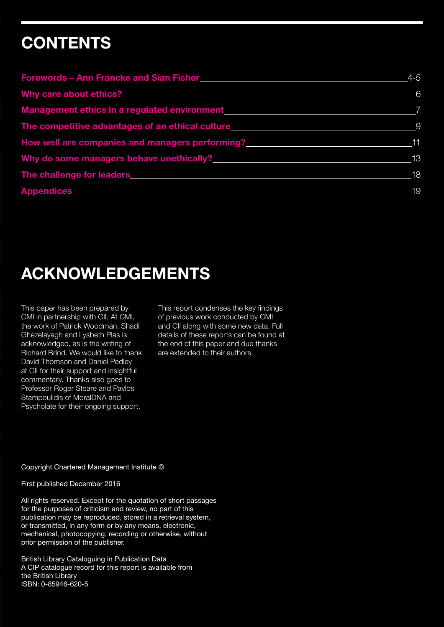### **CONTENTS**

| <b>Forewords - Ann Francke and Sian Fisher</b>      | $4 - 5$ |
|-----------------------------------------------------|---------|
| Why care about ethics?                              | 6       |
| <b>Management ethics in a regulated environment</b> |         |
| The competitive advantages of an ethical culture    | -9      |
| How well are companies and managers performing?     | 11      |
| Why do some managers behave unethically?            | 13      |
| The challenge for leaders                           | 18      |
| <b>Appendices</b>                                   | 19      |

### **ACKNOWLEDGEMENTS**

This paper has been prepared by CMI in partnership with CII. At CMI, the work of Patrick Woodman, Shadi Ghezelayagh and Lysbeth Plas is acknowledged, as is the writing of Richard Brind. We would like to thank David Thomson and Daniel Pedley at CII for their support and insightful commentary. Thanks also goes to Professor Roger Steare and Pavlos Stampoulidis of MoralDNA and Psycholate for their ongoing support.

This report condenses the key findings of previous work conducted by CMI and CII along with some new data. Full details of these reports can be found at the end of this paper and due thanks are extended to their authors.

Copyright Chartered Management Institute ©

First published December 2016

All rights reserved. Except for the quotation of short passages for the purposes of criticism and review, no part of this publication may be reproduced, stored in a retrieval system, or transmitted, in any form or by any means, electronic, mechanical, photocopying, recording or otherwise, without prior permission of the publisher.

British Library Cataloguing in Publication Data A CIP catalogue record for this report is available from the British Library ISBN: 0-85946-620-5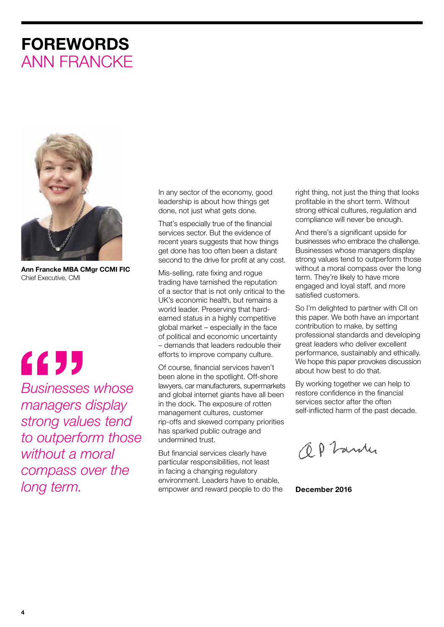### **FOREWORDS** ANN FRANCKE



**Ann Francke MBA CMgr CCMI FIC** Chief Executive, CMI

6655 *Businesses whose managers display strong values tend to outperform those without a moral compass over the long term.*

In any sector of the economy, good leadership is about how things get done, not just what gets done.

That's especially true of the financial services sector. But the evidence of recent years suggests that how things get done has too often been a distant second to the drive for profit at any cost.

Mis-selling, rate fixing and rogue trading have tarnished the reputation of a sector that is not only critical to the UK's economic health, but remains a world leader. Preserving that hardearned status in a highly competitive global market – especially in the face of political and economic uncertainty – demands that leaders redouble their efforts to improve company culture.

Of course, financial services haven't been alone in the spotlight. Off-shore lawyers, car manufacturers, supermarkets and global internet giants have all been in the dock. The exposure of rotten management cultures, customer rip-offs and skewed company priorities has sparked public outrage and undermined trust.

But financial services clearly have particular responsibilities, not least in facing a changing regulatory environment. Leaders have to enable, empower and reward people to do the right thing, not just the thing that looks profitable in the short term. Without strong ethical cultures, regulation and compliance will never be enough.

And there's a significant upside for businesses who embrace the challenge. Businesses whose managers display strong values tend to outperform those without a moral compass over the long term. They're likely to have more engaged and loyal staff, and more satisfied customers.

So I'm delighted to partner with CII on this paper. We both have an important contribution to make, by setting professional standards and developing great leaders who deliver excellent performance, sustainably and ethically. We hope this paper provokes discussion about how best to do that.

By working together we can help to restore confidence in the financial services sector after the often self-inflicted harm of the past decade.

@P Zarder

**December 2016**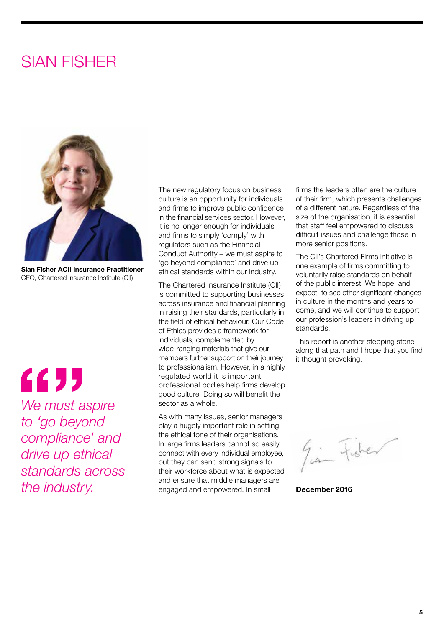### SIAN FISHER



**Sian Fisher ACII Insurance Practitioner** CEO, Chartered Insurance Institute (CII)

6655

*We must aspire to 'go beyond compliance' and drive up ethical standards across the industry.*

The new regulatory focus on business culture is an opportunity for individuals and firms to improve public confidence in the financial services sector. However, it is no longer enough for individuals and firms to simply 'comply' with regulators such as the Financial Conduct Authority – we must aspire to 'go beyond compliance' and drive up ethical standards within our industry.

The Chartered Insurance Institute (CII) is committed to supporting businesses across insurance and financial planning in raising their standards, particularly in the field of ethical behaviour. Our Code of Ethics provides a framework for individuals, complemented by wide-ranging materials that give our members further support on their journey to professionalism. However, in a highly regulated world it is important professional bodies help firms develop good culture. Doing so will benefit the sector as a whole.

As with many issues, senior managers play a hugely important role in setting the ethical tone of their organisations. In large firms leaders cannot so easily connect with every individual employee, but they can send strong signals to their workforce about what is expected and ensure that middle managers are engaged and empowered. In small

firms the leaders often are the culture of their firm, which presents challenges of a different nature. Regardless of the size of the organisation, it is essential that staff feel empowered to discuss difficult issues and challenge those in more senior positions.

The CII's Chartered Firms initiative is one example of firms committing to voluntarily raise standards on behalf of the public interest. We hope, and expect, to see other significant changes in culture in the months and years to come, and we will continue to support our profession's leaders in driving up standards.

This report is another stepping stone along that path and I hope that you find it thought provoking.

tishes

**December 2016**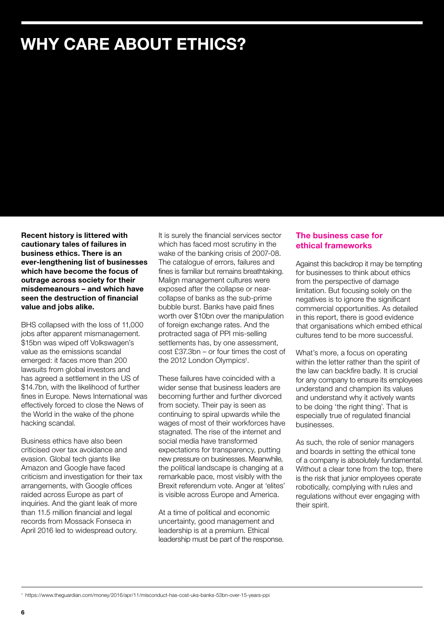### **WHY CARE ABOUT ETHICS?**

**Recent history is littered with cautionary tales of failures in business ethics. There is an ever-lengthening list of businesses which have become the focus of outrage across society for their misdemeanours – and which have seen the destruction of financial value and jobs alike.**

BHS collapsed with the loss of 11,000 jobs after apparent mismanagement. \$15bn was wiped off Volkswagen's value as the emissions scandal emerged: it faces more than 200 lawsuits from global investors and has agreed a settlement in the US of \$14.7bn, with the likelihood of further fines in Europe. News International was effectively forced to close the News of the World in the wake of the phone hacking scandal.

Business ethics have also been criticised over tax avoidance and evasion. Global tech giants like Amazon and Google have faced criticism and investigation for their tax arrangements, with Google offices raided across Europe as part of inquiries. And the giant leak of more than 11.5 million financial and legal records from Mossack Fonseca in April 2016 led to widespread outcry.

It is surely the financial services sector which has faced most scrutiny in the wake of the banking crisis of 2007-08. The catalogue of errors, failures and fines is familiar but remains breathtaking. Malign management cultures were exposed after the collapse or nearcollapse of banks as the sub-prime bubble burst. Banks have paid fines worth over \$10bn over the manipulation of foreign exchange rates. And the protracted saga of PPI mis-selling settlements has, by one assessment, cost £37.3bn – or four times the cost of the 2012 London Olympics<sup>1</sup>.

These failures have coincided with a wider sense that business leaders are becoming further and further divorced from society. Their pay is seen as continuing to spiral upwards while the wages of most of their workforces have stagnated. The rise of the internet and social media have transformed expectations for transparency, putting new pressure on businesses. Meanwhile, the political landscape is changing at a remarkable pace, most visibly with the Brexit referendum vote. Anger at 'elites' is visible across Europe and America.

At a time of political and economic uncertainty, good management and leadership is at a premium. Ethical leadership must be part of the response.

#### **The business case for ethical frameworks**

Against this backdrop it may be tempting for businesses to think about ethics from the perspective of damage limitation. But focusing solely on the negatives is to ignore the significant commercial opportunities. As detailed in this report, there is good evidence that organisations which embed ethical cultures tend to be more successful.

What's more, a focus on operating within the letter rather than the spirit of the law can backfire badly. It is crucial for any company to ensure its employees understand and champion its values and understand why it actively wants to be doing 'the right thing'. That is especially true of regulated financial businesses.

As such, the role of senior managers and boards in setting the ethical tone of a company is absolutely fundamental. Without a clear tone from the top, there is the risk that junior employees operate robotically, complying with rules and regulations without ever engaging with their spirit.

<sup>1</sup> https://www.theguardian.com/money/2016/apr/11/misconduct-has-cost-uks-banks-53bn-over-15-years-ppi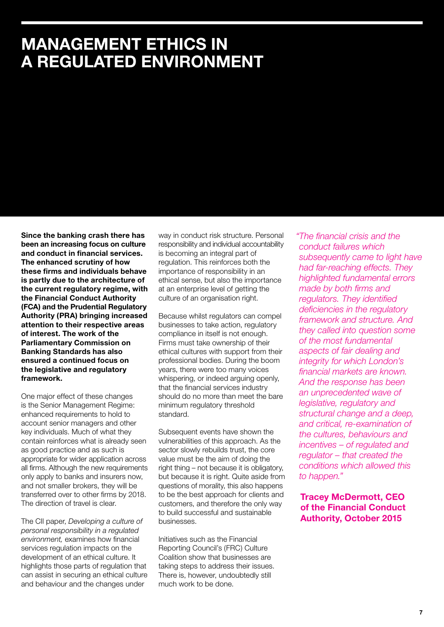### **MANAGEMENT ETHICS IN A REGULATED ENVIRONMENT**

**Since the banking crash there has been an increasing focus on culture and conduct in financial services. The enhanced scrutiny of how these firms and individuals behave is partly due to the architecture of the current regulatory regime, with the Financial Conduct Authority (FCA) and the Prudential Regulatory Authority (PRA) bringing increased attention to their respective areas of interest. The work of the Parliamentary Commission on Banking Standards has also ensured a continued focus on the legislative and regulatory framework.**

One major effect of these changes is the Senior Management Regime: enhanced requirements to hold to account senior managers and other key individuals. Much of what they contain reinforces what is already seen as good practice and as such is appropriate for wider application across all firms. Although the new requirements only apply to banks and insurers now, and not smaller brokers, they will be transferred over to other firms by 2018. The direction of travel is clear.

The CII paper, *Developing a culture of personal responsibility in a regulated environment,* examines how financial services regulation impacts on the development of an ethical culture. It highlights those parts of regulation that can assist in securing an ethical culture and behaviour and the changes under

way in conduct risk structure. Personal responsibility and individual accountability is becoming an integral part of regulation. This reinforces both the importance of responsibility in an ethical sense, but also the importance at an enterprise level of getting the culture of an organisation right.

Because whilst regulators can compel businesses to take action, regulatory compliance in itself is not enough. Firms must take ownership of their ethical cultures with support from their professional bodies. During the boom years, there were too many voices whispering, or indeed arguing openly, that the financial services industry should do no more than meet the bare minimum regulatory threshold standard.

Subsequent events have shown the vulnerabilities of this approach. As the sector slowly rebuilds trust, the core value must be the aim of doing the right thing – not because it is obligatory, but because it is right. Quite aside from questions of morality, this also happens to be the best approach for clients and customers, and therefore the only way to build successful and sustainable businesses.

Initiatives such as the Financial Reporting Council's (FRC) Culture Coalition show that businesses are taking steps to address their issues. There is, however, undoubtedly still much work to be done.

*"The financial crisis and the conduct failures which subsequently came to light have had far-reaching effects. They highlighted fundamental errors made by both firms and regulators. They identified deficiencies in the regulatory framework and structure. And they called into question some of the most fundamental aspects of fair dealing and integrity for which London's financial markets are known. And the response has been an unprecedented wave of legislative, regulatory and structural change and a deep, and critical, re-examination of the cultures, behaviours and incentives – of regulated and regulator – that created the conditions which allowed this to happen."*

 **Tracey McDermott, CEO of the Financial Conduct Authority, October 2015**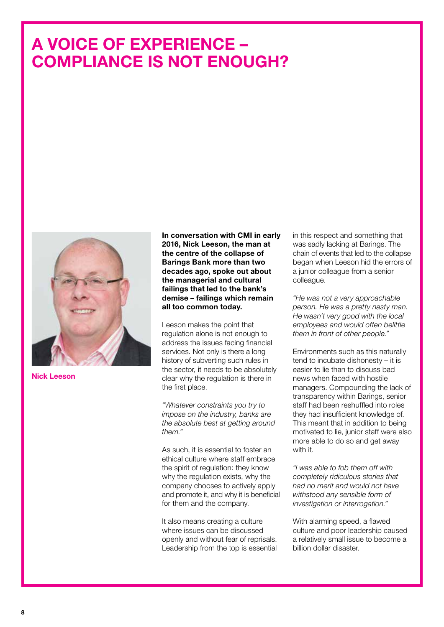### **A VOICE OF EXPERIENCE – COMPLIANCE IS NOT ENOUGH?**



**Nick Leeson**

**In conversation with CMI in early 2016, Nick Leeson, the man at the centre of the collapse of Barings Bank more than two decades ago, spoke out about the managerial and cultural failings that led to the bank's demise – failings which remain all too common today.**

Leeson makes the point that regulation alone is not enough to address the issues facing financial services. Not only is there a long history of subverting such rules in the sector, it needs to be absolutely clear why the regulation is there in the first place.

*"Whatever constraints you try to impose on the industry, banks are the absolute best at getting around them."*

As such, it is essential to foster an ethical culture where staff embrace the spirit of regulation: they know why the regulation exists, why the company chooses to actively apply and promote it, and why it is beneficial for them and the company.

It also means creating a culture where issues can be discussed openly and without fear of reprisals. Leadership from the top is essential in this respect and something that was sadly lacking at Barings. The chain of events that led to the collapse began when Leeson hid the errors of a junior colleague from a senior colleague.

*"He was not a very approachable person. He was a pretty nasty man. He wasn't very good with the local employees and would often belittle them in front of other people."*

Environments such as this naturally tend to incubate dishonesty – it is easier to lie than to discuss bad news when faced with hostile managers. Compounding the lack of transparency within Barings, senior staff had been reshuffled into roles they had insufficient knowledge of. This meant that in addition to being motivated to lie, junior staff were also more able to do so and get away with it.

*"I was able to fob them off with completely ridiculous stories that had no merit and would not have withstood any sensible form of investigation or interrogation."*

With alarming speed, a flawed culture and poor leadership caused a relatively small issue to become a billion dollar disaster.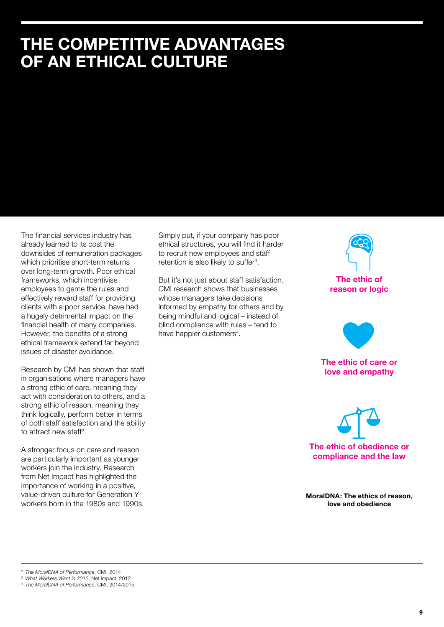### **THE COMPETITIVE ADVANTAGES OF AN ETHICAL CULTURE**

The financial services industry has already learned to its cost the downsides of remuneration packages which prioritise short-term returns over long-term growth. Poor ethical frameworks, which incentivise employees to game the rules and effectively reward staff for providing clients with a poor service, have had a hugely detrimental impact on the financial health of many companies. However, the benefits of a strong ethical framework extend far beyond issues of disaster avoidance.

Research by CMI has shown that staff in organisations where managers have a strong ethic of care, meaning they act with consideration to others, and a strong ethic of reason, meaning they think logically, perform better in terms of both staff satisfaction and the ability to attract new staff<sup>2</sup>.

A stronger focus on care and reason are particularly important as younger workers join the industry. Research from Net Impact has highlighted the importance of working in a positive, value-driven culture for Generation Y workers born in the 1980s and 1990s. Simply put, if your company has poor ethical structures, you will find it harder to recruit new employees and staff retention is also likely to suffer<sup>3</sup>.

But it's not just about staff satisfaction. CMI research shows that businesses whose managers take decisions informed by empathy for others and by being mindful and logical – instead of blind compliance with rules – tend to have happier customers<sup>4</sup>.





**MoralDNA: The ethics of reason, love and obedience**

<sup>2</sup> *The MoralDNA of Performance*, CMI, 2014

<sup>3</sup> *What Workers Want in 2012*, Net Impact, 2012

<sup>4</sup> *The MoralDNA of Performance*, CMI, 2014/2015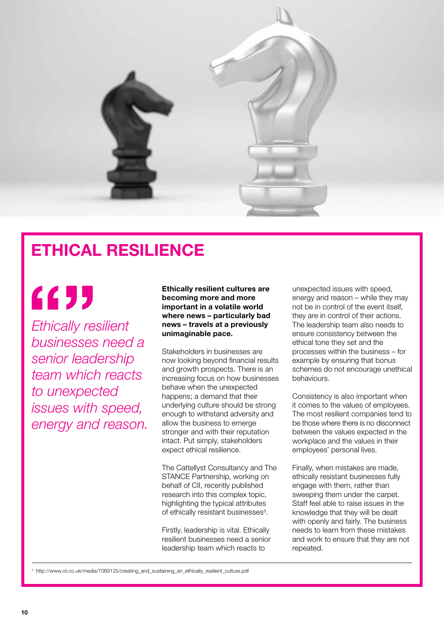

### **ETHICAL RESILIENCE**

## **"**

*Ethically resilient businesses need a senior leadership team which reacts to unexpected issues with speed, energy and reason.*

**Ethically resilient cultures are becoming more and more important in a volatile world where news – particularly bad news – travels at a previously unimaginable pace.**

Stakeholders in businesses are now looking beyond financial results and growth prospects. There is an increasing focus on how businesses behave when the unexpected happens; a demand that their underlying culture should be strong enough to withstand adversity and allow the business to emerge stronger and with their reputation intact. Put simply, stakeholders expect ethical resilience.

The Cattellyst Consultancy and The STANCE Partnership, working on behalf of CII, recently published research into this complex topic, highlighting the typical attributes of ethically resistant businesses<sup>5</sup>.

Firstly, leadership is vital. Ethically resilient businesses need a senior leadership team which reacts to

unexpected issues with speed, energy and reason – while they may not be in control of the event itself, they are in control of their actions. The leadership team also needs to ensure consistency between the ethical tone they set and the processes within the business – for example by ensuring that bonus schemes do not encourage unethical behaviours.

Consistency is also important when it comes to the values of employees. The most resilient companies tend to be those where there is no disconnect between the values expected in the workplace and the values in their employees' personal lives.

Finally, when mistakes are made, ethically resistant businesses fully engage with them, rather than sweeping them under the carpet. Staff feel able to raise issues in the knowledge that they will be dealt with openly and fairly. The business needs to learn from these mistakes and work to ensure that they are not repeated.

<sup>5</sup> http://www.cii.co.uk/media/7089125/creating\_and\_sustaining\_an\_ethically\_resilient\_culture.pdf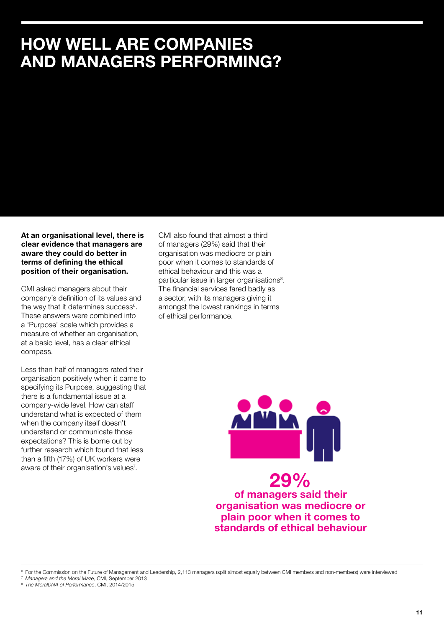### **HOW WELL ARE COMPANIES AND MANAGERS PERFORMING?**

**At an organisational level, there is clear evidence that managers are aware they could do better in terms of defining the ethical position of their organisation.** 

CMI asked managers about their company's definition of its values and the way that it determines success<sup>6</sup>. These answers were combined into a 'Purpose' scale which provides a measure of whether an organisation, at a basic level, has a clear ethical compass.

Less than half of managers rated their organisation positively when it came to specifying its Purpose, suggesting that there is a fundamental issue at a company-wide level. How can staff understand what is expected of them when the company itself doesn't understand or communicate those expectations? This is borne out by further research which found that less than a fifth (17%) of UK workers were aware of their organisation's values<sup>7</sup>.

CMI also found that almost a third of managers (29%) said that their organisation was mediocre or plain poor when it comes to standards of ethical behaviour and this was a particular issue in larger organisations<sup>8</sup>. The financial services fared badly as a sector, with its managers giving it amongst the lowest rankings in terms of ethical performance.



**29% of managers said their organisation was mediocre or plain poor when it comes to standards of ethical behaviour**

<sup>6</sup> For the Commission on the Future of Management and Leadership, 2,113 managers (split almost equally between CMI members and non-members) were interviewed

<sup>7</sup> *Managers and the Moral Maze*, CMI, September 2013

<sup>8</sup> *The MoralDNA of Performance*, CMI, 2014/2015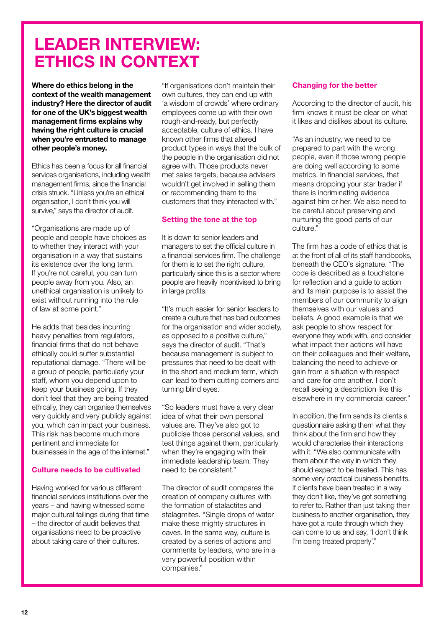### **LEADER INTERVIEW: ETHICS IN CONTEXT**

**Where do ethics belong in the context of the wealth management industry? Here the director of audit for one of the UK's biggest wealth management firms explains why having the right culture is crucial when you're entrusted to manage other people's money.**

Ethics has been a focus for all financial services organisations, including wealth management firms, since the financial crisis struck. "Unless you're an ethical organisation, I don't think you will survive," says the director of audit.

"Organisations are made up of people and people have choices as to whether they interact with your organisation in a way that sustains its existence over the long term. If you're not careful, you can turn people away from you. Also, an unethical organisation is unlikely to exist without running into the rule of law at some point."

He adds that besides incurring heavy penalties from regulators, financial firms that do not behave ethically could suffer substantial reputational damage. "There will be a group of people, particularly your staff, whom you depend upon to keep your business going. If they don't feel that they are being treated ethically, they can organise themselves very quickly and very publicly against you, which can impact your business. This risk has become much more pertinent and immediate for businesses in the age of the internet."

#### **Culture needs to be cultivated**

Having worked for various different financial services institutions over the years – and having witnessed some major cultural failings during that time – the director of audit believes that organisations need to be proactive about taking care of their cultures.

"If organisations don't maintain their own cultures, they can end up with 'a wisdom of crowds' where ordinary employees come up with their own rough-and-ready, but perfectly acceptable, culture of ethics. I have known other firms that altered product types in ways that the bulk of the people in the organisation did not agree with. Those products never met sales targets, because advisers wouldn't get involved in selling them or recommending them to the customers that they interacted with."

#### **Setting the tone at the top**

It is down to senior leaders and managers to set the official culture in a financial services firm. The challenge for them is to set the right culture, particularly since this is a sector where people are heavily incentivised to bring in large profits.

"It's much easier for senior leaders to create a culture that has bad outcomes for the organisation and wider society, as opposed to a positive culture," says the director of audit. "That's because management is subject to pressures that need to be dealt with in the short and medium term, which can lead to them cutting corners and turning blind eyes.

"So leaders must have a very clear idea of what their own personal values are. They've also got to publicise those personal values, and test things against them, particularly when they're engaging with their immediate leadership team. They need to be consistent."

The director of audit compares the creation of company cultures with the formation of stalactites and stalagmites. "Single drops of water make these mighty structures in caves. In the same way, culture is created by a series of actions and comments by leaders, who are in a very powerful position within companies."

#### **Changing for the better**

According to the director of audit, his firm knows it must be clear on what it likes and dislikes about its culture.

"As an industry, we need to be prepared to part with the wrong people, even if those wrong people are doing well according to some metrics. In financial services, that means dropping your star trader if there is incriminating evidence against him or her. We also need to be careful about preserving and nurturing the good parts of our culture."

The firm has a code of ethics that is at the front of all of its staff handbooks, beneath the CEO's signature. "The code is described as a touchstone for reflection and a guide to action and its main purpose is to assist the members of our community to align themselves with our values and beliefs. A good example is that we ask people to show respect for everyone they work with, and consider what impact their actions will have on their colleagues and their welfare, balancing the need to achieve or gain from a situation with respect and care for one another. I don't recall seeing a description like this elsewhere in my commercial career."

In addition, the firm sends its clients a questionnaire asking them what they think about the firm and how they would characterise their interactions with it. "We also communicate with them about the way in which they should expect to be treated. This has some very practical business benefits. If clients have been treated in a way they don't like, they've got something to refer to. Rather than just taking their business to another organisation, they have got a route through which they can come to us and say, 'I don't think I'm being treated properly'."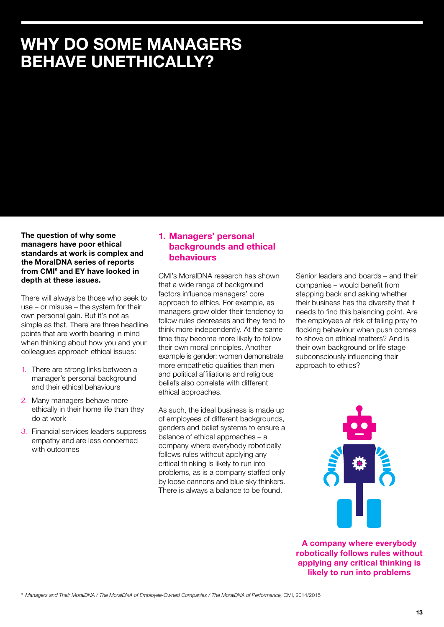### **WHY DO SOME MANAGERS BEHAVE UNETHICALLY?**

**The question of why some managers have poor ethical standards at work is complex and the MoralDNA series of reports from CMI9 and EY have looked in depth at these issues.** 

There will always be those who seek to use – or misuse – the system for their own personal gain. But it's not as simple as that. There are three headline points that are worth bearing in mind when thinking about how you and your colleagues approach ethical issues:

- 1. There are strong links between a manager's personal background and their ethical behaviours
- 2. Many managers behave more ethically in their home life than they do at work
- 3. Financial services leaders suppress empathy and are less concerned with outcomes

#### **1. Managers' personal backgrounds and ethical behaviours**

CMI's MoralDNA research has shown that a wide range of background factors influence managers' core approach to ethics. For example, as managers grow older their tendency to follow rules decreases and they tend to think more independently. At the same time they become more likely to follow their own moral principles. Another example is gender: women demonstrate more empathetic qualities than men and political affiliations and religious beliefs also correlate with different ethical approaches.

As such, the ideal business is made up of employees of different backgrounds, genders and belief systems to ensure a balance of ethical approaches – a company where everybody robotically follows rules without applying any critical thinking is likely to run into problems, as is a company staffed only by loose cannons and blue sky thinkers. There is always a balance to be found.

Senior leaders and boards – and their companies – would benefit from stepping back and asking whether their business has the diversity that it needs to find this balancing point. Are the employees at risk of falling prey to flocking behaviour when push comes to shove on ethical matters? And is their own background or life stage subconsciously influencing their approach to ethics?



**A company where everybody robotically follows rules without applying any critical thinking is likely to run into problems**

<sup>9</sup> *Managers and Their MoralDNA / The MoralDNA of Employee-Owned Companies / The MoralDNA of Performance,* CMI, 2014/2015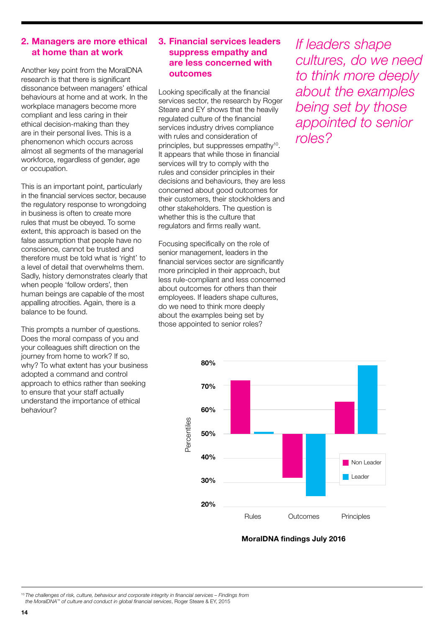#### **2. Managers are more ethical at home than at work**

Another key point from the MoralDNA research is that there is significant dissonance between managers' ethical behaviours at home and at work. In the workplace managers become more compliant and less caring in their ethical decision-making than they are in their personal lives. This is a phenomenon which occurs across almost all segments of the managerial workforce, regardless of gender, age or occupation.

This is an important point, particularly in the financial services sector, because the regulatory response to wrongdoing in business is often to create more rules that must be obeyed. To some extent, this approach is based on the false assumption that people have no conscience, cannot be trusted and therefore must be told what is 'right' to a level of detail that overwhelms them. Sadly, history demonstrates clearly that when people 'follow orders', then human beings are capable of the most appalling atrocities. Again, there is a balance to be found.

This prompts a number of questions. Does the moral compass of you and your colleagues shift direction on the journey from home to work? If so, why? To what extent has your business adopted a command and control approach to ethics rather than seeking to ensure that your staff actually understand the importance of ethical behaviour?

#### **3. Financial services leaders suppress empathy and are less concerned with outcomes**

Looking specifically at the financial services sector, the research by Roger Steare and EY shows that the heavily regulated culture of the financial services industry drives compliance with rules and consideration of principles, but suppresses empathy<sup>10</sup>. It appears that while those in financial services will try to comply with the rules and consider principles in their decisions and behaviours, they are less concerned about good outcomes for their customers, their stockholders and other stakeholders. The question is whether this is the culture that regulators and firms really want.

Focusing specifically on the role of senior management, leaders in the financial services sector are significantly more principled in their approach, but less rule-compliant and less concerned about outcomes for others than their employees. If leaders shape cultures, do we need to think more deeply about the examples being set by those appointed to senior roles?

*If leaders shape cultures, do we need to think more deeply about the examples being set by those appointed to senior roles?*



#### **MoralDNA findings July 2016**

*the MoralDNA™ of culture and conduct in global financial services*, Roger Steare & EY, 2015

<sup>10</sup> *The challenges of risk, culture, behaviour and corporate integrity in financial services – Findings from*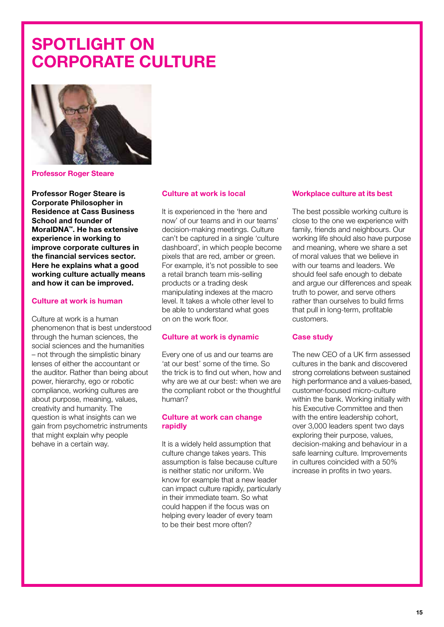### **SPOTLIGHT ON CORPORATE CULTURE**



**Professor Roger Steare**

**Professor Roger Steare is Corporate Philosopher in Residence at Cass Business School and founder of MoralDNA™. He has extensive experience in working to improve corporate cultures in the financial services sector. Here he explains what a good working culture actually means and how it can be improved.**

#### **Culture at work is human**

Culture at work is a human phenomenon that is best understood through the human sciences, the social sciences and the humanities – not through the simplistic binary lenses of either the accountant or the auditor. Rather than being about power, hierarchy, ego or robotic compliance, working cultures are about purpose, meaning, values, creativity and humanity. The question is what insights can we gain from psychometric instruments that might explain why people behave in a certain way.

#### **Culture at work is local**

It is experienced in the 'here and now' of our teams and in our teams' decision-making meetings. Culture can't be captured in a single 'culture dashboard', in which people become pixels that are red, amber or green. For example, it's not possible to see a retail branch team mis-selling products or a trading desk manipulating indexes at the macro level. It takes a whole other level to be able to understand what goes on on the work floor.

#### **Culture at work is dynamic**

Every one of us and our teams are 'at our best' some of the time. So the trick is to find out when, how and why are we at our best: when we are the compliant robot or the thoughtful human?

#### **Culture at work can change rapidly**

It is a widely held assumption that culture change takes years. This assumption is false because culture is neither static nor uniform. We know for example that a new leader can impact culture rapidly, particularly in their immediate team. So what could happen if the focus was on helping every leader of every team to be their best more often?

#### **Workplace culture at its best**

The best possible working culture is close to the one we experience with family, friends and neighbours. Our working life should also have purpose and meaning, where we share a set of moral values that we believe in with our teams and leaders. We should feel safe enough to debate and argue our differences and speak truth to power, and serve others rather than ourselves to build firms that pull in long-term, profitable customers.

#### **Case study**

The new CEO of a UK firm assessed cultures in the bank and discovered strong correlations between sustained high performance and a values-based, customer-focused micro-culture within the bank. Working initially with his Executive Committee and then with the entire leadership cohort, over 3,000 leaders spent two days exploring their purpose, values, decision-making and behaviour in a safe learning culture. Improvements in cultures coincided with a 50% increase in profits in two years.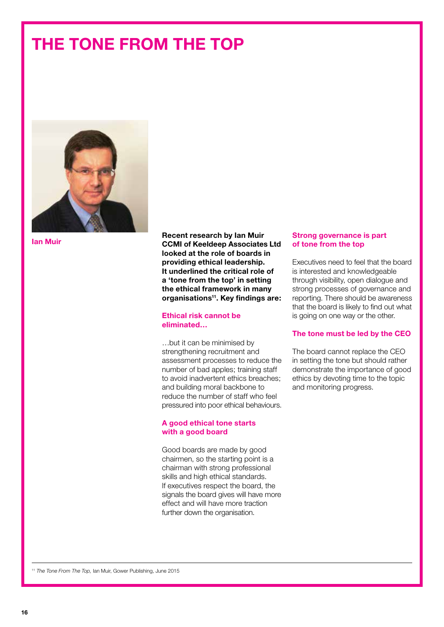### **THE TONE FROM THE TOP**



**Ian Muir**

**Recent research by Ian Muir CCMI of Keeldeep Associates Ltd looked at the role of boards in providing ethical leadership. It underlined the critical role of a 'tone from the top' in setting the ethical framework in many organisations11. Key findings are:**

#### **Ethical risk cannot be eliminated…**

…but it can be minimised by strengthening recruitment and assessment processes to reduce the number of bad apples; training staff to avoid inadvertent ethics breaches; and building moral backbone to reduce the number of staff who feel pressured into poor ethical behaviours.

#### **A good ethical tone starts with a good board**

Good boards are made by good chairmen, so the starting point is a chairman with strong professional skills and high ethical standards. If executives respect the board, the signals the board gives will have more effect and will have more traction further down the organisation.

#### **Strong governance is part of tone from the top**

Executives need to feel that the board is interested and knowledgeable through visibility, open dialogue and strong processes of governance and reporting. There should be awareness that the board is likely to find out what is going on one way or the other.

#### **The tone must be led by the CEO**

The board cannot replace the CEO in setting the tone but should rather demonstrate the importance of good ethics by devoting time to the topic and monitoring progress.

<sup>11</sup> *The Tone From The Top,* Ian Muir, Gower Publishing, June 2015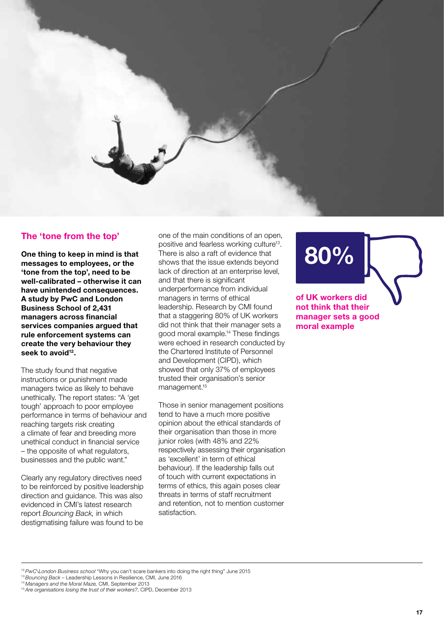![](_page_16_Picture_0.jpeg)

#### **The 'tone from the top'**

**One thing to keep in mind is that messages to employees, or the 'tone from the top', need to be well-calibrated – otherwise it can have unintended consequences. A study by PwC and London Business School of 2,431 managers across financial services companies argued that rule enforcement systems can create the very behaviour they**  seek to avoid<sup>12</sup>.

The study found that negative instructions or punishment made managers twice as likely to behave unethically. The report states: "A 'get tough' approach to poor employee performance in terms of behaviour and reaching targets risk creating a climate of fear and breeding more unethical conduct in financial service – the opposite of what regulators, businesses and the public want."

Clearly any regulatory directives need to be reinforced by positive leadership direction and guidance. This was also evidenced in CMI's latest research report *Bouncing Back,* in which destigmatising failure was found to be

one of the main conditions of an open, positive and fearless working culture13. There is also a raft of evidence that shows that the issue extends beyond lack of direction at an enterprise level, and that there is significant underperformance from individual managers in terms of ethical leadership. Research by CMI found that a staggering 80% of UK workers did not think that their manager sets a good moral example.14 These findings were echoed in research conducted by the Chartered Institute of Personnel and Development (CIPD), which showed that only 37% of employees trusted their organisation's senior management.<sup>15</sup>

Those in senior management positions tend to have a much more positive opinion about the ethical standards of their organisation than those in more junior roles (with 48% and 22% respectively assessing their organisation as 'excellent' in term of ethical behaviour). If the leadership falls out of touch with current expectations in terms of ethics, this again poses clear threats in terms of staff recruitment and retention, not to mention customer satisfaction.

# **80%**

**of UK workers did not think that their manager sets a good moral example**

<sup>12</sup> *PwC\London Business school* "Why you can't scare bankers into doing the right thing" June 2015

<sup>13</sup>*Bouncing Back* – Leadership Lessons in Resilience, CMI, June 2016

<sup>14</sup> *Managers and the Moral Maze,* CMI, September 2013

<sup>15</sup> *Are organisations losing the trust of their workers?*, CIPD, December 2013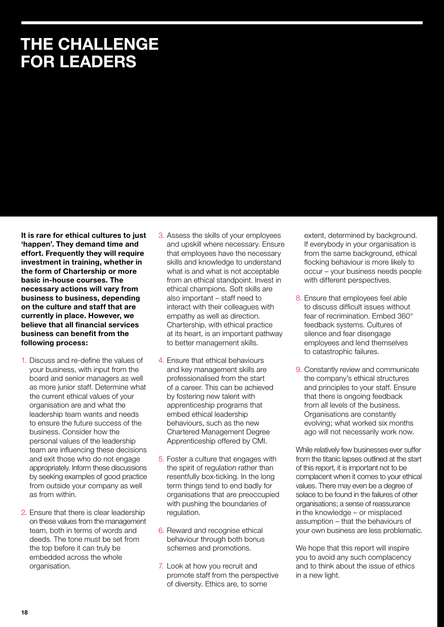### **THE CHALLENGE FOR LEADERS**

- **It is rare for ethical cultures to just 'happen'. They demand time and effort. Frequently they will require investment in training, whether in the form of Chartership or more basic in-house courses. The necessary actions will vary from business to business, depending on the culture and staff that are currently in place. However, we believe that all financial services business can benefit from the following process:**
- 1. Discuss and re-define the values of your business, with input from the board and senior managers as well as more junior staff. Determine what the current ethical values of your organisation are and what the leadership team wants and needs to ensure the future success of the business. Consider how the personal values of the leadership team are influencing these decisions and exit those who do not engage appropriately. Inform these discussions by seeking examples of good practice from outside your company as well as from within.
- 2. Ensure that there is clear leadership on these values from the management team, both in terms of words and deeds. The tone must be set from the top before it can truly be embedded across the whole organisation.
- 3. Assess the skills of your employees and upskill where necessary. Ensure that employees have the necessary skills and knowledge to understand what is and what is not acceptable from an ethical standpoint. Invest in ethical champions. Soft skills are also important – staff need to interact with their colleagues with empathy as well as direction. Chartership, with ethical practice at its heart, is an important pathway to better management skills.
- 4. Ensure that ethical behaviours and key management skills are professionalised from the start of a career. This can be achieved by fostering new talent with apprenticeship programs that embed ethical leadership behaviours, such as the new Chartered Management Degree Apprenticeship offered by CMI.
- 5. Foster a culture that engages with the spirit of regulation rather than resentfully box-ticking. In the long term things tend to end badly for organisations that are preoccupied with pushing the boundaries of regulation.
- 6. Reward and recognise ethical behaviour through both bonus schemes and promotions.
- 7. Look at how you recruit and promote staff from the perspective of diversity. Ethics are, to some

extent, determined by background. If everybody in your organisation is from the same background, ethical flocking behaviour is more likely to occur – your business needs people with different perspectives.

- 8. Ensure that employees feel able to discuss difficult issues without fear of recrimination. Embed 360° feedback systems. Cultures of silence and fear disengage employees and lend themselves to catastrophic failures.
- 9. Constantly review and communicate the company's ethical structures and principles to your staff. Ensure that there is ongoing feedback from all levels of the business. Organisations are constantly evolving; what worked six months ago will not necessarily work now.

While relatively few businesses ever suffer from the titanic lapses outlined at the start of this report, it is important not to be complacent when it comes to your ethical values. There may even be a degree of solace to be found in the failures of other organisations; a sense of reassurance in the knowledge – or misplaced assumption – that the behaviours of your own business are less problematic.

We hope that this report will inspire you to avoid any such complacency and to think about the issue of ethics in a new light.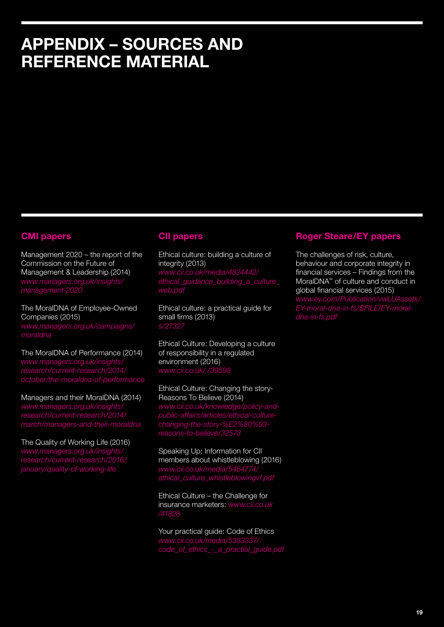### **APPENDIX – SOURCES AND REFERENCE MATERIAL**

#### **CMI papers**

Management 2020 – the report of the Commission on the Future of Management & Leadership (2014) *www.managers.org.uk/insights/ management-2020*

The MoralDNA of Employee-Owned Companies (2015) *www.managers.org.uk/campaigns/ moraldna*

The MoralDNA of Performance (2014) *www.managers.org.uk/insights/ research/current-research/2014/ october/the-moraldna-of-performance*

Managers and their MoralDNA (2014) *www.managers.org.uk/insights/ research/current-research/2014/ march/managers-and-their-moraldna*

The Quality of Working Life (2016) *www.managers.org.uk/insights/*

*research/current-research/2016/*

#### **CII papers**

Ethical culture: building a culture of integrity (2013) *www.cii.co.uk/media/4824442/*

*ethical\_guidance\_building\_a\_culture\_ web.pdf*

Ethical culture: a practical guide for small firms (2013) *s/27327*

Ethical Culture: Developing a culture of responsibility in a regulated environment (2016) *www.cii.co.uk/ /39598*

Ethical Culture: Changing the story-Reasons To Believe (2014) *www.cii.co.uk/knowledge/policy-andpublic-affairs/articles/ethical-culturechanging-the-story-%E2%80%93 reasons-to-believe/32573*

Speaking Up: Information for CII members about whistleblowing (2016) *www.cii.co.uk/media/5464774/ ethical\_culture\_whistleblowingvf.pdf*

Ethical Culture – the Challenge for insurance marketers: *www.cii.co.uk /41828*

Your practical guide: Code of Ethics *www.cii.co.uk/media/5383337/ code\_of\_ethics\_-\_a\_practial\_guide.pdf*

#### **Roger Steare/EY papers**

The challenges of risk, culture, behaviour and corporate integrity in financial services – Findings from the MoralDNA™ of culture and conduct in global financial services (2015) *www.ey.com/Publication/vwLUAssets/ EY-moral-dna-in-fs/\$FILE/EY-moral-*